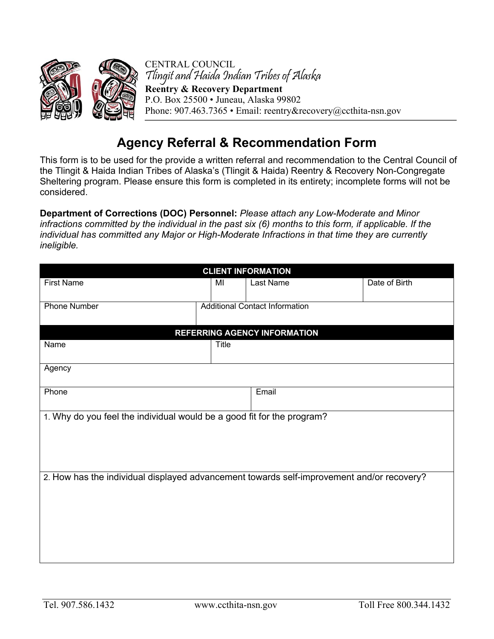

## **Agency Referral & Recommendation Form**

This form is to be used for the provide a written referral and recommendation to the Central Council of the Tlingit & Haida Indian Tribes of Alaska's (Tlingit & Haida) Reentry & Recovery Non-Congregate Sheltering program. Please ensure this form is completed in its entirety; incomplete forms will not be considered.

**Department of Corrections (DOC) Personnel:** *Please attach any Low-Moderate and Minor infractions committed by the individual in the past six (6) months to this form, if applicable. If the individual has committed any Major or High-Moderate Infractions in that time they are currently ineligible.* 

| <b>CLIENT INFORMATION</b>                                                                 |                                       |           |               |
|-------------------------------------------------------------------------------------------|---------------------------------------|-----------|---------------|
| <b>First Name</b>                                                                         | MI                                    | Last Name | Date of Birth |
| <b>Phone Number</b>                                                                       | <b>Additional Contact Information</b> |           |               |
| REFERRING AGENCY INFORMATION                                                              |                                       |           |               |
| Name                                                                                      | <b>Title</b>                          |           |               |
| Agency                                                                                    |                                       |           |               |
| Phone                                                                                     |                                       | Email     |               |
| 1. Why do you feel the individual would be a good fit for the program?                    |                                       |           |               |
| 2. How has the individual displayed advancement towards self-improvement and/or recovery? |                                       |           |               |